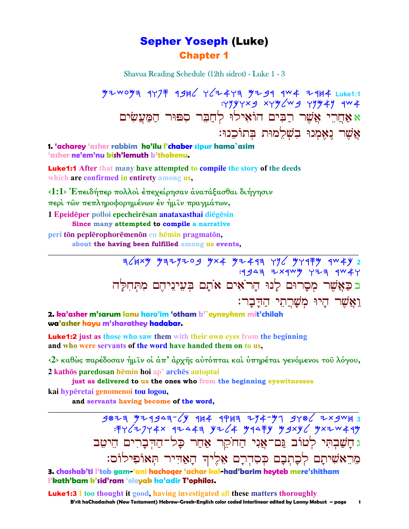### **Sepher Yoseph (Luke) Chapter 1**

Shavua Reading Schedule (12th sidrot) - Luke 1 - 3

**YZWOYA 4Y7 49H6 Y6Z4YA YZ94 4W4 Z4H4 Luke1:1**  $:$  Tyyyyxg xyy/wg yyy4y qw4 א אחרי אשר רבים הוֹאילוּ לחבר ספוּר המעשׂים אֲשֶׁר נֵאֱמְנוּ בִשְׁלֵמוּת בְּתוֹכֶנוּ:

1. 'acharey 'asher rabbim ho'ilu l'chaber sipur hama`asim 'asher ne'em'nu bish'lemuth b'thokenu.

**Luke1:1** After that many have attempted to compile the story of the deeds which are confirmed in entirety among us.

<1:1> Έπειδήπερ πολλοί έπεγείρησαν ανατάξασθαι διήγησιν

περί των πεπληροφορημένων έν ήμιν πραγμάτων,

1 Epeidēper polloi epecheirēsan anataxasthai diēgēsin

Since many attempted to compile a narrative

peri tōn peplērophorēmenōn en hēmin pragmatōn.

about the having been fulfilled among us events.

בכַאֲשֶׁר מִסֲרוּם לַנוּ הַרֹאִים אֹתַם בִּעֲינֵיהֶם מִתְּחִלַּה ואשר היו משרתי הדבר:

2. ka'asher m'sarum lanu haro'im 'otham b'`eyneyhem mit'chilah wa'asher hayu m'sharathey hadabar.

**Luke1:2** just as those who saw them with their own eyes from the beginning and who were servants of the word have handed them on to us,

<2> καθώς παρέδοσαν ήμιν οί άπ' άρχης αύτόπται καί ύπηρέται γενόμενοι του λόγου, 2 kathōs paredosan hēmin hoi ap' archēs autoptai

just as delivered to us the ones who from the beginning eyewitnesses

kai hypēretai genomenoi tou logou,

and servants having become of the word,

 $3077$   $774949^{-}/$   $974947^{-}/$   $114$   $114$   $114$   $114$   $114$   $114$   $114$   $114$   $114$   $114$   $114$   $114$   $114$   $114$   $114$   $114$   $114$   $114$   $114$   $114$   $114$   $114$   $114$   $114$   $114$   $114$   $114$   $114$   $114$   $114$   $114$   $114$  ג חָשַׁבְתִּי לְטוֹב גַּם־אֲנִי הַחֹקֵר אַחַר כָּל־הַדִּבָרִים הֵיטֵב מֵרֵאֹשִׁיתָם לְכָתְבָם כְּסִדְרָם אֵלֶיךָ הָאַדִּיר תְּאוֹפִילוֹס:

3. chashab'ti l'tob gam 'ani hachoqer 'achar kal-had'barim heyteb mere'shitham l'kath'bam k'sid'ram 'eleyak ha'adir T'ophilos.

**Luke1:3** I too thought it good, having investigated all these matters thoroughly

B'rit haChadashah (New Testament) Hebrew-Greek-English color coded Interlinear edited by Lanny Mebust - page  $\blacksquare$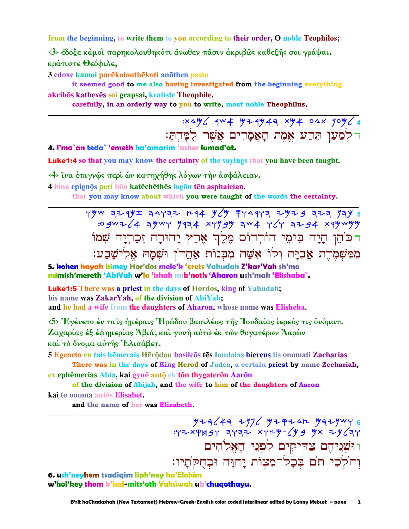from the beginning, to write them to you according to their order, O noble Teophilos;

<3> έδοξε κάμοι παρηκολουθηκότι άνωθεν πασιν άκριβως καθεξής σοι γράψαι, κράτιστε Θεόφιλε,

3 edoxe kamoi parēkolouthēkoti anōthen pasin

it seemed good to me also having investigated from the beginning everything akribōs kathexēs soi grapsai, kratiste Theophile,

carefully, in an orderly way to you to write, most noble Theophilus,

 $3x \triangle y$  aw  $4$   $y = 4y + 4$  xy  $4$  osx you  $4$ ר לְמַעַן תִּדַע אֱמֶת הָאֲמָרִים אֲשֵׁר לִמַּדִתַּ:

4. I'ma`an teda` 'emeth ha'amarim 'asher lumad'at.

**Luke1:4** so that you may know the certainty of the sayings that you have been taught.

<4> ΐνα έπιγνώς περί ών κατηχήθης λόγων την ασφάλειαν.

4 hina epignōs peri hōn katēchēthēs logōn tēn asphaleian.

that you may know about which you were taught of the words the certainty.

TYW AZYYI AAYAZ MAR YCY FYAYA ZYZA AZYAY 34Y הכֹהֵן הָיָה בִּימֵי הוֹרִדוֹּם מֵלֵךְ אֲרֵץ יָהוּדָה זִכַרִיָּה שִׁמוֹ מִמְּשָׁמֶרֶת אֲבְיָה וְלוֹ אָשָׁה מִבְּנוֹת אַחֲרֹן וּשָׁמָה אֱלְישָׁבַע:

5. kohen hayah bimey Hor'dos mele'k 'erets Yahudah Z'kar'Yah sh'mo mimish'mereth 'AbiYah w'lo 'ishah mib'noth 'Aharon ush'mah 'Elishaba`.

**Luke1:5** There was a priest in the days of Hordos, king of Yahudah; his name was ZakarYah, of the division of AbiYah; and he had a wife from the daughters of Aharon, whose name was Elisheba.

 $\langle 5 \rangle$  Έγένετο έν ταις ήμέραις Ήρώδου βασιλέως της Ιουδαίας ίερεύς τις όνόματι Ζαχαρίας έξ έφημερίας Άβιά, και γυνή αύτῶ έκ τῶν θυγατέρων Άαρὼν και το όνομα αύτης Έλισάβετ.

5 Egeneto en tais hēmerais Hērōdou basileōs tēs Ioudaias hiereus tis onomati Zacharias There was in the days of King Herod of Judea, a certain priest by name Zechariah,

ex ephēmerias Abia, kai gynē autō ek tōn thygaterōn Aarōn of the division of Abijah, and the wife to him of the daughters of Aaron

kai to onoma autēs Elisabet. and the name of her was Elizabeth.

> $\frac{y^2}{3}y^2 = \frac{y^2}{6}$  : ٢٢٧٧ ٢٠٢٣ ١٩٢٧ ١٩٢٤ ٢٩٢٧ ١٩٢٤ ٢٠٢٣ ו וּשְׁנֵיהֶם צַדִּיקִים לִפְנֵי הַאֱלֹהִים וְהֹלְכֵי תֹם בִּכָל־מִצְוֹת יָהוָּה וּבְחֻקֹתָיו:

6. ush'neyhem tsadigim liph'ney ha'Elohim w'hol'key thom b'kal-mits'oth Yahúwah ub'chuqothayu.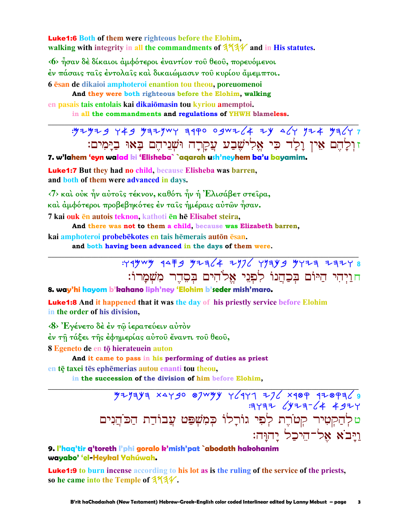**Luke1:6** Both of them were righteous before the Elohim. walking with integrity in all the commandments of  $444$  and in His statutes.

«6» ήσαν δέ δίκαιοι αμφότεροι εναντίον του θεου, πορευόμενοι έν πάσαις ταῖς ἐντολαῖς καὶ δικαιώμασιν τοῦ κυρίου ἄμεμπτοι. 6 esan de dikaioi amphoteroi enantion tou theou, por euomenoi

And they were both righteous before the Elohim, walking en pasais tais entolais kai dikaiomasin tou kyriou amemptoi.

in all the commandments and regulations of YHWH blameless.

: 424729 749 432447 3440 0942 4 24 447 724 4347 זולהם אין ולד כי אלישבע עקרה וּשְׁנִיהֵם בָּאוּ בַיָּמִים:

7. w'lahem 'eyn walad ki 'Elisheba` `aqarah ush'neyhem ba'u bayamim.

**Luke1:7** But they had no child, because Elisheba was barren, and both of them were advanced in days.

<7> καὶ οὐκ ἦν αὐτοῖς τέκνον, καθότι ἦν ἡ Ἐλισάβετ στεῖρα, και άμφότεροι προβεβηκότες έν ταις ήμέραις αυτών ήσαν. 7 kai ouk en autois teknon, kathoti en he Elisabet steira,

And there was not to them a child, because was Elizabeth barren, kai amphoteroi probebēkotes en tais hēmerais autōn ēsan.

and both having been advanced in the days of them were.

# $749$  W  $4479$   $9276$   $7976$   $79399$   $97777$   $7777$ חויהי היום בכהנו לפני אלהים בסדר משמרו:

8. way'hi hayom b'kahano liph'ney 'Elohim b'seder mish'maro.

**Luke1:8** And it happened that it was the day of his priestly service before Elohim in the order of his division,

<8> Έγένετο δέ έν τω ιερατεύειν αυτόν

έν τῆ τάξει τῆς ἐφημερίας αὐτοῦ ἔναντι τοῦ θεοῦ,

8 Egeneto de en tō hierateuein auton

And it came to pass in his performing of duties as priest en tē taxei tēs ephēmerias autou enanti tou theou.

in the succession of the division of him before Elohim,

ם לְהַקְטִיר קְטֹרֶת לְפִי גוֹרָלוֹ בְּמִשְׁפַּט עֲבוֹדֵת הַכֹּהֵנִים ויבא אל־היכל יַהוָּה:

### 9. l'haq'tir q'toreth l'phi goralo k'mish'pat `abodath hakohanim wayabo' 'el-Heykal Yahúwah.

**Luke1:9** to burn incense according to his lot as is the ruling of the service of the priests, so he came into the Temple of 3731.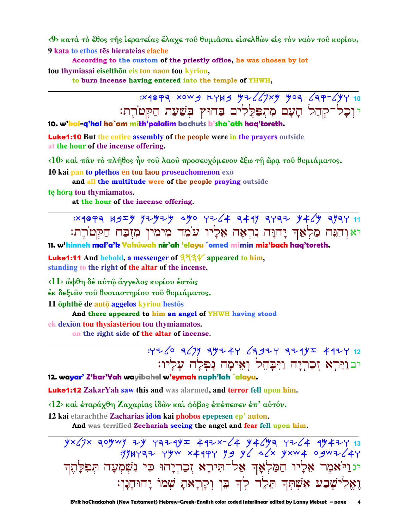<9> κατά το έθος της ίερατείας έλαχε του θυμιάσαι είσελθών είς τον ναόν του κυρίου, 9 kata to ethos tēs hierateias elache

According to the custom of the priestly office, he was chosen by lot tou thymiasai eiselthōn eis ton naon tou kyriou,

to burn incense having entered into the temple of YHWH,

 $30497$  xowg rygg yz (1xy yoz (zp-(yy 10) י וְכָל־קְהַל הָעָם מִתִפַּלֵלִים בַּחוּץ בִּשַׁעַת הַקִּטֹרֵת:

10. w'kal-g'hal ha`am mith'palalim bachuts b'sha`ath hag'toreth.

**Luke1:10** But the entire assembly of the people were in the prayers outside at the hour of the incense offering.

<10> καί παν τό πλήθος ήν του λαου προσευχόμενον έξω τη ώρα του θυμιάματος. 10 kai pan to plēthos en tou laou proseuchomenon exo

and all the multitude were of the people praying outside

tē hōra tou thymiamatos.

at the hour of the incense offering.

 $3.18997$   $1.955$   $1.9797$   $1.990$   $1.764$   $1.41$   $1.971$   $1.971$   $1.971$ יא וִהְנֵּה מַלְאַךְ יָהוָּה נִרְאָה אֵלָיו עֹמֶד מִימִין מִזְבַח הַקִּטֹרֵת:

11. w'hinneh mal'a'k Yahúwah nir'ah 'elayu `omed mimin miz'bach haq'toreth.

**Luke1:11** And behold, a messenger of  $444$  appeared to him. standing to the right of the altar of the incense.

 $\langle 11 \rangle$  ὤφθη δέ αύτ $\hat{\omega}$  ἄγγελος κυρίου έστὼς

έκ δεξιών του θυσιαστηρίου του θυμιάματος.

11 ophthe de auto aggelos kyriou hestos

And there appeared to him an angel of YHWH having stood

ek dexion tou thysiasteriou tou thymiamatos.

on the right side of the altar of incense.

 $.4726$  3(7) 39244 (3924 324) 34424 12 יבוַיַּרְא זִכַרְיָה וַיִּבָּהֶל וְאִימַה נָפְלָה עָלָיו:

12. wayar' Z'kar'Yah wayibahel w'eymah naph'lah `alayu.

**Luke1:12** ZakarYah saw this and was alarmed, and terror fell upon him.

<12> και έταράχθη Ζαχαρίας ιδών και φόβος έπέπεσεν έπ' αύτόν.

12 kai etarachthe Zacharias idon kai phobos epepesen ep' auton.

And was terrified Zechariah seeing the angel and fear fell upon him.

 $yx/7x$  aoywy zy razqy +4zx-/4 y+/ya rz/4 9y+zr 13  $3744777$  YYW X499Y YS Y 4/x YXW4 09W7/4Y יגוַיֹּאמֶר אֵלְיו הַמַּלְאָךְ אַל־תִּירָא זִכַרְיָהוּ כִּי נִשְׁמְעָה תִּפְלָתֵךְ וַאַלִישֵׁבַע אָשְׁתִּךְ תֵגִ<sup>ּוֹ</sup>ד בְּן וְכְן ָאתָ שְׁמוֹ יָהוּחָנָן: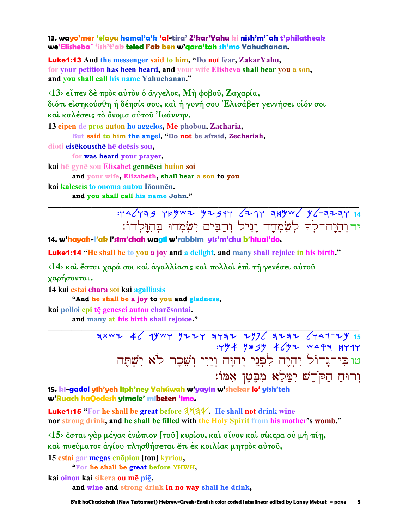13. wayo'mer 'elayu hamal'a'k 'al-tira' Z'kar'Yahu ki nish'm'`ah t'philatheak we'Elisheba` 'ish't'ak teled I'ak ben w'aara'tah sh'mo Yahuchanan.

**Luke1:13** And the messenger said to him, "Do not fear, ZakarYahu, for your petition has been heard, and your wife Elisheva shall bear you a son, and you shall call his name Yahuchanan."

 $\langle 13 \rangle$  είπεν δέ πρός αύτόν ό άγγελος, Μή φοβού, Ζαχαρία, διότι είσηκούσθη ή δέησίς σου, και ή γυνή σου Έλισάβετ γεννήσει υιόν σοι καί καλέσεις τό όνομα αύτου Ιωάννην.

13 eipen de pros auton ho aggelos, Mē phobou, Zacharia, But said to him the angel, "Do not be afraid, Zechariah,

dioti eisēkousthē hē deēsis sou,

for was heard your prayer,

kai hē gynē sou Elisabet gennēsei huion soi

and your wife, Elizabeth, shall bear a son to you

kai kaleseis to onoma autou Iōannēn. and you shall call his name John."

> $44243$   $44944$   $4494$   $417$   $4494$   $4694$ ידוהיה־לִדְ לִשְׂמְחַה וַגִיל וְרַבִּים יְשִׂמְחוּ בִּהְוַּלְדוֹ:

14. w'havah-l'ak l'sim'chah waajl w'rabbim vis'm'chu b'hiual'do.

Luke1:14 "He shall be to you a joy and a delight, and many shall rejoice in his birth."

<14> και έσται χαρά σοι και άγαλλίασις και πολλοι έπι τη γενέσει αυτου γαρήσονται.

14 kai estai chara soi kai agalliasis

"And he shall be a joy to you and gladness,

kai polloi epi tē genesei autou charēsontai.

and many at his birth shall rejoice."

 $7000 + 60000 + 30000 + 30000 + 30000 + 30000 + 30000 + 30000 + 30000 + 30000 + 30000 + 30000 + 30000 + 30000 + 30000 + 30000 + 30000 + 30000 + 30000 + 30000 + 30000 + 30000 + 30000 + 30000 + 30000 + 30000 + 30000 + 30000 + 30000 + 30000 + 30000 + 3000$ ... ... ...<br>טוּכִּי־נָדוֹל יִהְיֶה לִפְנֵי יָהוָּה וְיַיִן וְשֵׁכָר לֹא יִשְׁתֵּה וְרוּחַ הַקֹּדֵשׁ יִמֲלֵא מְבָטֵן אָמּוֹ:

15. ki-gadol yih'yeh liph'ney Yahúwah w'yayin w'shekar lo' yish'teh w'Ruach haQodesh yimale' mibeten 'imo.

**Luke1:15** "For he shall be great before  $3\frac{1}{4}$ . He shall not drink wine nor strong drink, and he shall be filled with the Holy Spirit from his mother's womb."

<15> έσται γάρ μέγας ένώπιον [τοῦ] κυρίου, και οίνον και σίκερα ού μή πίη, και πνεύματος αγίου πλησθήσεται έτι έκ κοιλίας μητρος αυτου,

15 estai gar megas enopion [tou] kyriou,

"For he shall be great before YHWH.

kai oinon kai sikera ou mē piē,

and wine and strong drink in no way shall he drink,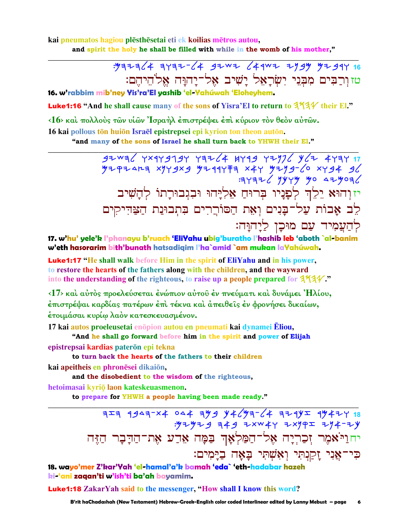kai pneumatos hagiou plēsthēsetai eti ek koilias mētros autou, and spirit the holy he shall be filled with while in the womb of his mother."

> : yaza / 4 ayaz- / 4 gzwz / 4 qwz zygy yzgqy 16 טזוְרַבִּים מִבְּנֵי יִשְׂרָאָל יָשִׁיב אָל־יַחוַּה אֵלֹהֵיהֵם:

16. w'rabbim mib'ney Yis'ra'El yashib 'el-Yahúwah 'Eloheyhem.

Luke1:16 "And he shall cause many of the sons of Yisra'El to return to  $3\frac{4}{4}\frac{4}{4}$  their El."

<16> και πολλούς των υίων 'Ισραήλ έπιστρέψει έπι κύριον τον θεόν αύτων.

16 kai pollous tōn huiōn Israēl epistrepsei epi kyrion ton theon autōn. "and many of the sons of Israel he shall turn back to YHWH their El."

> $97^{14}$   $17^{14}$   $191^{14}$   $197^{14}$   $199^{14}$   $199^{14}$   $199^{14}$   $199^{14}$   $199^{14}$   $199^{14}$   $199^{14}$   $199^{14}$  $7297447$   $797979$   $79741777$   $797997$   $1997$   $19497$  $377726$  yyyy yo  $479076$ יזוְהוּא יֵלֵךְ לְפָנִיו בְּרוּחַ אֵלְיָהוּ וּבִגִבוּרַתוֹ לְהַשִׁיב לֵב אָבוֹת עַל־בָּנִים וְאֶת הַסּוֹרֵרִים בְּתְבוּנַת הַצַּדִּיקִים לְהַעֲמְיד עַם מוּכָן לַיָהוָּה:

17. w'hu' yele'k l'phanayu b'ruach 'EliYahu ubig'buratho l'hashib leb 'aboth `al-banim w'eth hasorarim bith'bunath hatsadigim l'ha`amid `am mukan laYahúwah.

**Luke1:17** "He shall walk before Him in the spirit of EliYahu and in his power, to restore the hearts of the fathers along with the children, and the wayward into the understanding of the righteous, to raise up a people prepared for  $3434$ .

<17> και αύτος προελεύσεται ένώπιον αύτου έν πνεύματι και δυνάμει Ήλίου, έπιστρέψαι καρδίας πατέρων έπι τέκνα και άπειθεῖς ἐν φρονήσει δικαίων, έτοιμάσαι κυρίω λαόν κατεσκευασμένον.

17 kai autos proeleusetai enopion autou en pneumati kai dynamei Eliou,

"And he shall go forward before him in the spirit and power of Elijah epistrepsai kardias paterōn epi tekna

to turn back the hearts of the fathers to their children

kai apeitheis en phronēsei dikaiōn,

and the disobedient to the wisdom of the righteous.

hetoimasai kyriō laon kateskeuasmenon.

to prepare for YHWH a people having been made ready."

יחוַיֹּאמִר זִכַרִיָה אֶל־הַמַּלְאָךְ בַּמָּה אֵדַע אֶת־הַדָּבָר הַזֶּה כִּי־אֲנִי זַקַנְתִּי וְאָשָׁתֵי בַאָה בַיַּמִים:

18. wayo'mer Z'kar'Yah 'el-hamal'a'k bamah 'eda` 'eth-hadabar hazeh ki-'ani zaqan'ti w'ish'ti ba'ah bayamim.

**Luke1:18** ZakarYah said to the messenger, "How shall I know this word?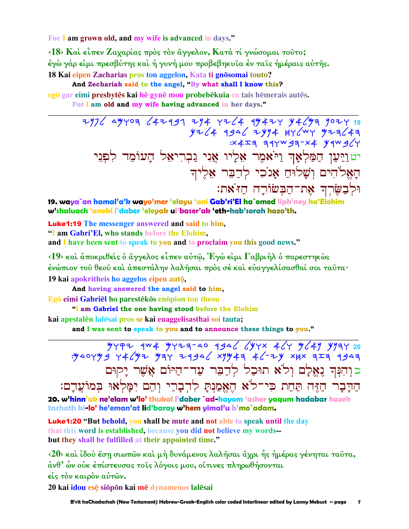For I am grown old, and my wife is advanced in days."

<18> Και είπεν Ζαχαρίας προς τον άγγελον, Κατά τί γνώσομαι τούτο; έγὼ γάρ εἰμι πρεσβύτης καὶ ἡ γυνή μου προβεβηκυῖα ἐν ταῖς ἡμέραις αὐτῆς. 18 Kai eipen Zacharias pros ton aggelon, Kata ti gnōsomai touto?

And Zechariah said to the angel, "By what shall I know this?

egō gar eimi presbytēs kai hē gynē mou probebēkuia en tais hēmerais autēs.

For I am old and my wife having advanced in her days."

2976 49409 642997 294 4264 99424 94699 9024 19 יטוַיַּעַן הַמַּלְאָךְ וַיֹּאמֶר אֵלְיו אֲנִי גַבְרִיאֵל הָעוֹמֵד לִפְנֵי האלהים ושלוּח אנכי לדבר אליד וּלְבַשֶּׂרְךָ אֲת־הַבְּשׂוֹרָה הַזֹּאת:

19. waya`an hamal'a'k wayo'mer 'elayu 'ani Gab'ri'El ha`omed liph'ney ha'Elohim w'shaluach 'anoki l'daber 'eleyak ul'baser'ak 'eth-hab'sorah hazo'th.

**Luke1:19** The messenger answered and said to him, "I am Gabri'El, who stands before the Elohim, and I have been sent to speak to you and to proclaim you this good news."

 $\langle 19 \rangle$  και άποκριθεις ο άγγελος είπεν αύτω, Έγώ είμι Γαβριήλ ο παρεστηκώς ένώπιον τοῦ θεοῦ καὶ ἀπεστάλην λαλῆσαι πρὸς σὲ καὶ εὐαγγελίσασθαί σοι ταῦτα· 19 kai apokritheis ho aggelos eipen autō,

And having answered the angel said to him,

Egō eimi Gabriel ho parestēkōs enōpion tou theou

"I am Gabriel the one having stood before the Elohim

kai apestalēn lalēsai pros se kai euaggelisasthai soi tauta;

and I was sent to speak to you and to announce these things to you."

 $4497$  4w4 44729-40 4946 644x 464 4644 4924 : y AOYY 9 Y 4 L'YZ Y AY 7 49AL XYY 4 AL-ZY XXX AIA 1947 כוִהִנְּךְ נֵאֱלָם וְלֹא תוּכַל לְדַבֶּר עַד־הַיּוֹם אֲשֶׁר יָקוּם הַדָּבָר הַזֶּה תַּחַת כִּי־לֹא הֵאֱמַנִתַּ לְדִבָרֵי וְהֶם יִמַּלְאוּ בִּמוֹעֲדָם: 20. w'hinn'ak ne'elam w'lo' thukal l'daber `ad-hayom 'asher yaqum hadabar hazeh tachath ki-lo' he'eman'at lid'baray w'hem yimal'u b'mo`adam.

**Luke1:20 "But behold, you shall be mute and not able to speak until the day** that this word is established, because you did not believe my words-but they shall be fulfilled at their appointed time."

 $\langle 20 \rangle$  και ίδου έση σιωπών και μή δυνάμενος λαλήσαι άχρι ής ήμέρας γένηται ταυτα, άνθ' ὧν οὐκ ἐπίστευσας τοῖς λόγοις μου, οἵτινες πληρωθήσονται είς τον καιρόν αύτών.

20 kai idou esē siōpōn kai mē dynamenos lalēsai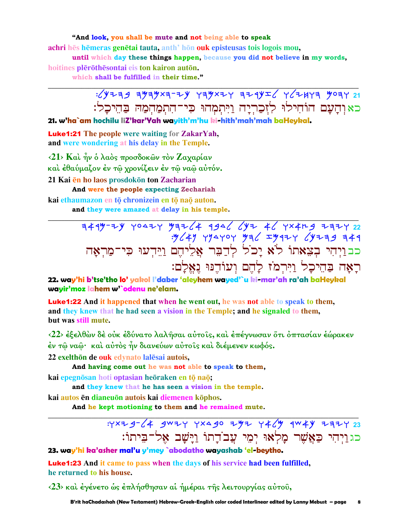"And look, you shall be mute and not being able to speak achri hēs hēmeras genētai tauta, anth' hōn ouk episteusas tois logois mou,

until which day these things happen, because you did not believe in my words, hoitines plērōthēsontai eis ton kairon autōn.

which shall be fulfilled in their time."

 $15/4779$   $3/47777$   $3/47777$   $3/47777$   $3/47777$   $3/47777$   $3/47777$   $3/47777$   $3/477777$   $3/477777$ כאוהַעֲם הוֹחִילוּ לְזִכַרְיָה וַיִּתְמְהוּ כִּי־הִתְמַהִמְהּ בַּהֵיכָל:

21. w'ha`am hochilu liZ'kar'Yah wayith'm'hu ki-hith'mah'mah baHeykal.

**Luke1:21** The people were waiting for ZakarYah, and were wondering at his delay in the Temple.

 $\langle 21 \rangle$  Και ήν ο λαός προσδοκών τον Ζαγαρίαν και έθαύμαζον έν τω χρονίζειν έν τω ναω αυτόν. 21 Kai en ho laos prosdokon ton Zacharian And were the people expecting Zechariah

kai ethaumazon en tō chronizein en tō naō auton. and they were amazed at delay in his temple.

> כבויהי בצאתו לא יכל לדבר אליהם וידעו כי־מראה רַאֲה בַּהֵיכָל וַיִּרְמֹז לַהֵם וִעוֹדֵנּוּ נאלם:

22. way'hi b'tse'tho lo' yakol l'daber 'aleyhem wayed'`u ki-mar'ah ra'ah baHeykal wavir'moz lahem w'`odenu ne'elam.

**Luke1:22** And it happened that when he went out, he was not able to speak to them, and they knew that he had seen a vision in the Temple; and he signaled to them, but was still mute.

<22> έξελθών δέ ούκ έδύνατο λαλήσαι αύτοις, και έπέγνωσαν ὅτι όπτασίαν έώρακεν έν τῶ ναῶ· καὶ αὐτὸς ἦν διανεύων αὐτοῖς καὶ διέμενεν κωφός.

22 exelthõn de ouk edvnato lalesai autois.

And having come out he was not able to speak to them, kai epegnōsan hoti optasian heōraken en tō naō;

and they knew that he has seen a vision in the temple.

kai autos ēn dianeuōn autois kai diemenen kōphos.

And he kept motioning to them and he remained mute.

: YXZ g- (4 gwzy yxa go zyz y 4 (y gw 4 y z z z z z כגוַיְהִי כַּאֲשֶׁר מָלְאוּ יִמִי עֲבוֹדַתוֹ וַיַּשַׁב אָל־בִּיתוֹ:

23. way'hi ka'asher mal'u y'mey `abodatho wayashab 'el-beytho.

**Luke1:23** And it came to pass when the days of his service had been fulfilled, he returned to his house.

<23> και έγένετο ως επλήσθησαν αι ήμέραι της λειτουργίας αύτου,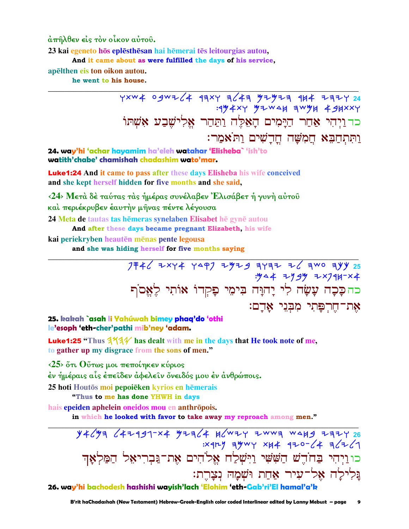άπῆλθεν είς τὸν οἶκον αὐτοῦ.

23 kai egeneto hōs eplēsthēsan hai hēmerai tēs leitourgias autou,

And it came about as were fulfilled the days of his service.

apēlthen eis ton oikon autou.

he went to his house.

YXW4 0gWZ (4 17XY 7 47 374727 184 2721 24 : 194xy 92 WAH 3W9H 49HXXY ּר יוֹכוּ יוֹתַ יְהַיְמִים הָאֲלֵה וַתַּחַר אֵלְישֵׁבַע אָשָׁתּוֹ<br>כדוַיְהִי אַחַר הַיָּמִים הָאֵלֵּה וַתַּחַר אֵלְישֵׁבַע אָשִׁתּוֹ וַתְּתְחֲבָא חֲמְשָׁה חֲדָשִׁים וַתּאִמַר:

24. way'hi 'achar hayamim ha'eleh watahar 'Elisheba` 'ish'to watith'chabe' chamishah chadashim wato'mar.

**Luke1:24** And it came to pass after these days Elisheba his wife conceived and she kept herself hidden for five months and she said,

<24> Μετά δέ ταύτας τας ήμέρας συνέλαβεν Έλισάβετ ή γυνή αύτου καὶ περιέκρυβεν ἑαυτὴν μῆνας πέντε λέγουσα 24 Meta de tautas tas hēmeras synelaben Elisabet hē gynē autou

And after these days became pregnant Elizabeth, his wife

kai periekryben heautēn mēnas pente legousa

and she was hiding herself for five months saying

25. kakah `asah li Yahúwah bimey phaq'do 'othi le'esoph 'eth-cher'pathi mib'ney 'adam.

**Luke1:25** "Thus  $354$  has dealt with me in the days that He took note of me, to gather up my disgrace from the sons of men."

 $\langle 25 \rangle$  ότι θύτως μοι πεποίηκεν κύριος

έν ήμέραις αἷς έπεῖδεν ἀφελεῖν ὄνειδός μου ἐν ἀνθρώποις.

25 hoti Houtōs moi pepoiēken kvrios en hēmerais

"Thus to me has done YHWH in days

hais epeiden aphelein oneidos mou en anthrōpois.

in which he looked with favor to take away my reproach among men."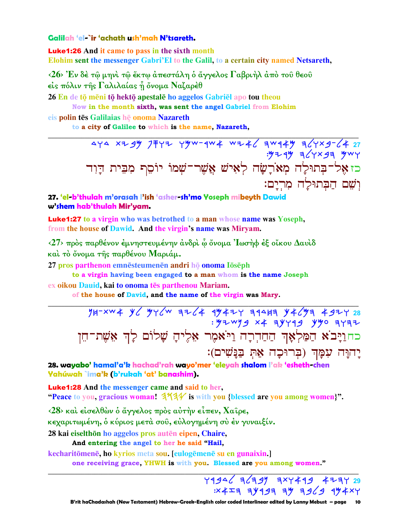### Galilah 'el-`ir 'achath ush'mah N'tsareth.

**Luke1:26** And it came to pass in the sixth month Elohim sent the messenger Gabri'El to the Galil, to a certain city named Netsareth,

 $\langle 26 \rangle$  Έν δέ τω μηνί τω έκτω άπεστάλη ο άγγελος Γαβριήλ άπό του θεου είς πόλιν της Γαλιλαίας ή όνομα Ναζαρέθ

26 En de tō mēni tō hektō apestalē ho aggelos Gabriel apo tou theou

Now in the month sixth, was sent the angel Gabriel from Elohim

eis polin tēs Galilaias hē onoma Nazareth

to a city of Galilee to which is the name, Nazareth,

474 xzgy JFYz Yyw-qw4 wz46 qwq4y q64xg-64 27<br>ywy pcxysq yyu כז אָל־בְּתוּלַה מְאֹרַשַּׁה לְאִישׁ אֲשֶׁר־שָׁמוֹ יוֹסֵף מְבֵית דַוְד וִשָׁם הַבְּתוּלַה מְרִיַם:

27. 'el-b'thulah m'orasah l'ish 'asher-sh'mo Yoseph mibeyth Dawid w'shem hab'thulah Mir'yam.

**Luke1:27** to a virgin who was betrothed to a man whose name was Yoseph, from the house of Dawid. And the virgin's name was Mirvam.

 $\langle 27 \rangle$  πρός παρθένον έμνηστευμένην άνδρι ω όνομα 'Ιωσήφ έξ οίκου Δαυίδ καί το όνομα της παρθένου Μαριάμ.

27 pros parthenon emnēsteumenēn andri hō onoma lōsēph

to a virgin having been engaged to a man whom is the name Joseph

ex oikou Dauid, kai to onoma tēs parthenou Mariam.

of the house of David, and the name of the virgin was Mary.

 $74-xw4 yc yyc'w z=c' + 3yz+c' zz' + 3yzc' + 3yzc' + 3yzc' + 3yzc' + 3yzc' + 3yzc' + 3yzc' + 3yzc' + 3yzc' + 3yzc' + 3yzc' + 3yzc' + 3zc' + 3zc' + 3zc' + 3zc' + 3zc' + 3zc' + 3zc' + 3zc' + 3zc' + 3zc' + 3zc' + 3zc' + 3zc' + 3zc' + 3zc' + 3zc' + 3zc' + 3zc' + 3$ כחוַיָּבֹא הַמַּלְאָךְ הַחַדְרָה וַיֹּאמֶר אֵלֶיהָ שָׁלוֹם לַךְ אֵשֵׁת־הֵן יַחוַּה עִמַּךְ (בִרוּכָה אֵתְּ בַּנַּשִׁים):

28. wayabo' hamal'a'k hachad'rah wayo'mer 'eleyah shalom l'ak 'esheth-chen Yahúwah `ima'k (b'rukah 'at' banashim).

**Luke1:28** And the messenger came and said to her, "Peace to you, gracious woman!  $344$  is with you {blessed are you among women}".

 $\langle 28 \rangle$  και είσελθών ο άγγελος προς αύτην είπεν, Χαίρε,

κεχαριτωμένη, ὁ κύριος μετὰ σοῦ, εὐλογημένη σὺ ἐν γυναιξίν.

28 kai eiselthōn ho aggelos pros autēn eipen, Chaire,

And entering the angel to her he said "Hail,

kecharitōmenē, ho kyrios meta sou. [eulogēmenē su en gunaixin.]

one receiving grace, YHWH is with you. Blessed are you among women."

44346 36397 3x4493 4234 29  $X+X+Y$  e) and  $X+Y+Z$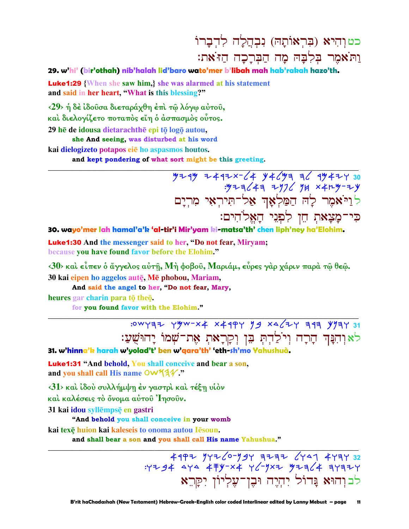# כטוהיא (בְּרְאוֹתַה) נִבְהֲלַה לְדִבָרוֹ ות<sup>:</sup>אמר בלבה מה הברכה הז<sup>:</sup>את:

### **29. w'hi' (bir'othah) nib'halah lid'baro wato'mer b'libah mah hab'rakah hazo'th.**

Luke1:29 **{When she saw him,} she was alarmed at his statement and said in her heart, "What is this blessing?"** 

**‹29› ἡ δὲ ἰδοῦσα διεταράχθη ἐπὶ τῷ λόγῳ αὐτοῦ, καὶ διελογίζετο ποταπὸς εἴη ὁ ἀσπασµὸς οὗτος.**  29 he de *idousa dietarachthe* epi tō logō autou,

**she And seeing, was disturbed at his word**

**kai dielogizeto potapos ei ho aspasmos houtos.** 

**and kept pondering of what sort might be this greeting.** 

 Myrm yaryt-la kalmh hl rmayw **30**   $:$  "Y $\frac{1}{2}$   $\frac{1}{2}$   $\frac{1}{2}$   $\frac{1}{2}$   $\frac{1}{2}$   $\frac{1}{2}$   $\frac{1}{2}$   $\frac{1}{2}$   $\frac{1}{2}$   $\frac{1}{2}$   $\frac{1}{2}$   $\frac{1}{2}$   $\frac{1}{2}$   $\frac{1}{2}$   $\frac{1}{2}$   $\frac{1}{2}$   $\frac{1}{2}$   $\frac{1}{2}$   $\frac{1}{2}$   $\frac{1}{2}$   $\frac{1}{2}$   $\frac{1$ לַיַיֹּאמֶר לְה הַמַּלְאָדְ אַל־תִּירִאִי מִרִיַם כִּי־מָצָאתְ חֵן לִפְנֵי הַאֲלֹהִים:

**30. wayo'mer lah hamal'a'k 'al-tir'i Mir'yam ki-matsa'th' chen liph'ney ha'Elohim.**

**\_\_\_\_\_\_\_\_\_\_\_\_\_\_\_\_\_\_\_\_\_\_\_\_\_\_\_\_\_\_\_\_\_\_\_\_\_\_\_\_\_\_\_\_\_\_\_\_\_\_\_\_\_\_\_\_\_\_\_\_\_\_\_\_\_\_\_\_\_\_\_\_\_\_\_\_\_\_\_\_\_\_\_\_\_\_\_\_\_\_\_\_\_**

Luke1:30 **And the messenger said to her, "Do not fear, Miryam; because you have found favor before the Elohim."** 

**‹30› καὶ εἶπεν ὁ ἄγγελος αὐτῇ, Μὴ φοβοῦ, Μαριάµ, εὗρες γὰρ χάριν παρὰ τῷ θεῷ. 30 kai eipen ho aggelos autÿ, M phobou, Mariam,** 

**And said the angel to her, "Do not fear, Mary,**

**heures gar charin para to theo.** 

**for you found favor with the Elohim."** 

**\_\_\_\_\_\_\_\_\_\_\_\_\_\_\_\_\_\_\_\_\_\_\_\_\_\_\_\_\_\_\_\_\_\_\_\_\_\_\_\_\_\_\_\_\_\_\_\_\_\_\_\_\_\_\_\_\_\_\_\_\_\_\_\_\_\_\_\_\_\_\_\_\_\_\_\_\_\_\_\_\_\_\_\_\_\_\_\_\_\_\_\_\_** :0WYAZ Y<sup>yw-x</sup>4 X41PY 99 X462Y A1A Y9AY 31 לאוּהִנַּה הַרַה וִיֹלַהְתְּ בֵּן וִקְרָאת אָת־שָׁמוֹ יָהוּשָׁעַ:

**31. w'hinna'k harah w'yolad't' ben w'qara'th' 'eth-sh'mo Yahushuà.**

Luke1:31 **"And behold, You shall conceive and bear a son,**  and you shall call His name  $\overline{OW44}$ ."

**‹31› καὶ ἰδοὺ συλλήµψῃ ἐν γαστρὶ καὶ τέξῃ υἱὸν** 

**καὶ καλέσεις τὸ ὄνοµα αὐτοῦ Ἰησοῦν.** 

**31 kai idou syllēmpsē en gastri** 

 **"And behold you shall conceive in your womb**

**kai texÿ huion kai kaleseis to onoma autou Isoun.** 

 **and shall bear a son and you shall call His name Yahushua."** 

**\_\_\_\_\_\_\_\_\_\_\_\_\_\_\_\_\_\_\_\_\_\_\_\_\_\_\_\_\_\_\_\_\_\_\_\_\_\_\_\_\_\_\_\_\_\_\_\_\_\_\_\_\_\_\_\_\_\_\_\_\_\_\_\_\_\_\_\_\_\_\_\_\_\_\_\_\_\_\_\_\_\_\_\_\_\_\_\_\_\_\_\_\_** <u>49PZ YYZ/0-YSY EZEZ 6YA1 4YEY 32</u>  $:Y794$  aya  $479-x4$  y  $\frac{1}{2}$ yxz yzz  $\frac{1}{4}$  ayzzy לב וַהוּא גַּדוֹל יִהְיֵה וּבֶן־עָלְיוֹן יִקְרֵא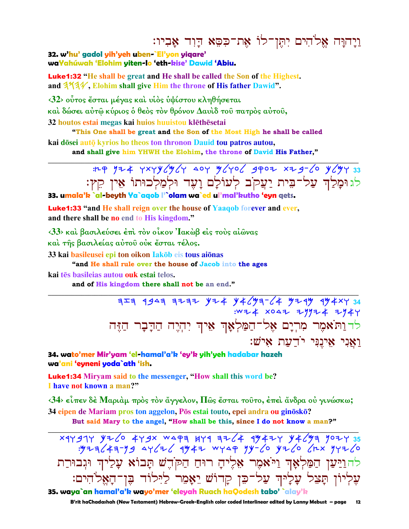# וַיָהוָּה אֱלֹהִים יִתְּן־לוֹ אֶת־כִּסֵא דָוִד אָבִיו:

32. w'hu' gadol yih'yeh uben-`El'yon yiqare' waYahúwah 'Elohim yiten-lo 'eth-kise' Dawid 'Abiu.

**Luke1:32** "He shall be great and He shall be called the Son of the Highest. and 3731. Elohim shall give Him the throne of His father Dawid".

<32> ούτος έσται μέγας και υίος υψίστου κληθήσεται

καὶ δώσει αὐτῷ κύριος ὁ θεὸς τὸν θρόνον Δαυὶδ τοῦ πατρὸς αὐτοῦ,

32 houtos estai megas kai huios huuistou klēthēsetai

"This One shall be great and the Son of the Most High he shall be called

kai dōsei autō kyrios ho theos ton thronon Dauid tou patros autou, and shall give him YHWH the Elohim, the throne of David His Father,"

## : LP 124 YXYY (W/Y AOY W/YO/ 4POZ XZ 4- 10 Y (WY 33 לגוּמָלַךְ עַל־בִּית יַעֲקֹב לְעוֹלָם וָעָד וּלְמַלְכוּתוֹ אֵין קֵץ:

33. umala'k `al-beyth Ya`agob l'`olam wa`ed ul'mal'kutho 'eyn gets.

**Luke1:33** "and He shall reign over the house of Yaaqob forever and ever, and there shall be no end to His kingdom."

<33> και βασιλεύσει έπι τον οίκον Ίακωβ είς τους αίωνας

και της βασιλείας αύτου ούκ έσται τέλος.

33 kai basileusei epi ton oikon lakōb eis tous aiōnas

"and He shall rule over the house of Jacob into the ages

kai tēs basileias autou ouk estai telos.

and of His kingdom there shall not be an end."

 $724$   $734$   $34$   $724$   $924$   $94$   $94$   $924$   $924$   $994$   $994$ לדות**ֹאמִר מִרְיָם אֶל־הַמַּלְאָךְ אִי**ךְ יְהָיֵה הַדָּבָר הַזִּה וַאֲנִי אֵיְנֵנִּי יֹדַעַת איֹשׁ:

34. wato'mer Mir'yam 'el-hamal'a'k 'ey'k yih'yeh hadabar hazeh wa'ani 'eyneni yoda`ath 'ish.

**Luke1:34** Miryam said to the messenger, "How shall this word be? I have not known a man?"

 $\langle 34 \rangle$  είπεν δέ Μαριάμ πρός τον άγγελον, Πῶς ἔσται τοῦτο, ἐπεὶ ἄνδρα οὐ γινώσκω; 34 eipen de Mariam pros ton aggelon, Pōs estai touto, epei andra ou ginōskō?

But said Mary to the angel, "How shall be this, since I do not know a man?"

xqygqy y+ 6 4ygx wapa kya a+6 4 4y4+y y+ 6ya yo+y 35<br>y+3y+ x+3 o>+6 yy-ya yy-6 y+6 6 4y+2 9y+6 להוַיַּעַן הַמַּלְאָךְ וַיֹּאמִר אֶלִיהָ רוּחַ הַקֹּהֵשׁ תָּבוֹא עָלַיךְ וּגִבוּרַת עִלִיוֹן תַּצֵל עָלָיהִ עַל־כֵּן קַדוֹשׁ יֵאָמֵר לַיִּלוֹד בֵּן־הָאֵלֹהִים: 35. waya`an hamal'a'k wayo'mer 'eleyah Ruach haQodesh tabo' `alay'k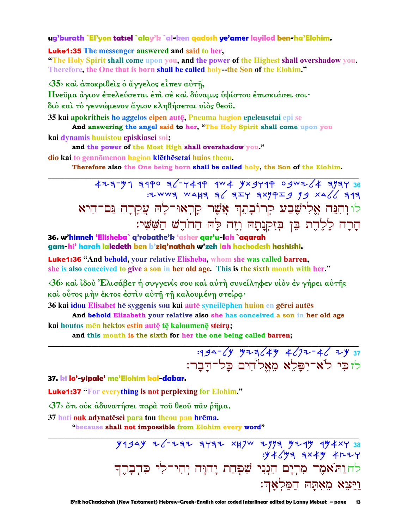### ug'burath `El'yon tatsel `alay'k `al-ken qadosh ye'amer layilod ben-ha'Elohim.

**Luke1:35** The messenger answered and said to her.

"The Holy Spirit shall come upon you, and the power of the Highest shall overshadow you. Therefore, the One that is born shall be called holy-the Son of the Elohim."

 $\langle 35 \rangle$  και άποκριθείς ο άγγελος είπεν αύτη,

Πνεύμα άγιον έπελεύσεται έπι σε και δύναμις υψίστου έπισκιάσει σοι·

διό καὶ τὸ γεννώμενον ἅγιον κληθήσεται υἱὸς θεοῦ.

35 kai apokritheis ho aggelos eipen autē, Pneuma hagion epeleusetai epi se

And answering the angel said to her, "The Holy Spirit shall come upon you kai dynamis huuistou episkiasei soi;

and the power of the Most High shall overshadow you."

dio kai to gennōmenon hagion klēthēsetai huios theou.

Therefore also the One being born shall be called holy, the Son of the Elohim.

 $477 - 97$  3490 36-449 4W4 9x9449 09WZ64 3934 36 לו והִנֵּה אֱלִישֵׁבַע קִרוֹבָהֵךְ אֲשֵׁר קַרִאוּ־לַהְ עֲקַרָה נֵּם־הִיא הָרָה לָלֶדֶת בֵּן בִּזִקְנָתָהּ וְזֵה לַּה הַחֹדֵשׁ הַשָּׁשִׁי:

### 36. w'hinneh 'Elisheba` q'robathe'k 'asher qar'u-lah `aqarah gam-hi' harah laledeth ben b'ziq'nathah w'zeh lah hachodesh hashishi.

**Luke1:36 "And behold, your relative Elisheba, whom she was called barren,** she is also conceived to give a son in her old age. This is the sixth month with her."

 $\langle 36 \rangle$  και ίδου Έλισάβετ ή συγγενίς σου και αύτη συνείληφεν υιον έν γήρει αυτής καὶ οὗτος μὴν ἔκτος ἐστὶν αὐτῆ τῆ καλουμένη στείρα·

36 kai idou Elisabet hē syggenis sou kai autē syneilēphen huion en gērei autēs

And behold Elizabeth your relative also she has conceived a son in her old age kai houtos mēn hektos estin autē tē kaloumenē steira;

and this month is the sixth for her the one being called barren;

# $-394-\angle y$   $y+z\angle 4y$   $4\angle 7z-z\angle 7y$  37 לזכי לא־יפלא מאלהים כל־דַבָר:

#### 37. ki lo'-yipale' me'Elohim kal-dabar.

**Luke1:37** "For everything is not perplexing for Elohim."

<37> ότι ούκ άδυνατήσει παρά του θεου παν ρήμα.

37 hoti ouk adynatesei para tou theou pan hrema.

"because shall not impossible from Elohim every word"

 $Y$ 1944 Z - Z 1712 347 W 277 424 4424 38  $y + y + y = \frac{1}{2}x + y + 1$ לחוַתֹּאמֶר מְרִיָּם הִנְנִי שִׁפְחַת יַהוָּּה יִהִי־לִי כִּדְבָרֵךְ ַרְרֵצֵא מֵאָתַּה הַמַּלְאֲדִ: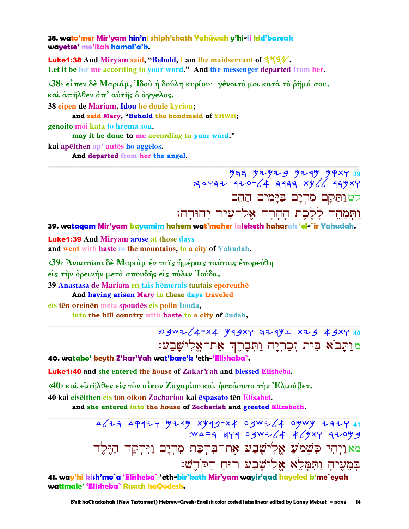38. wato'mer Mir'yam hin'ni shiph'chath Yahúwah y'hi-li kid'bareak wayetse' me'itah hamal'a'k.

Luke1:38 And Miryam said, "Behold, I am the maidservant of 313V. Let it be for me according to your word." And the messenger departed from her.

<38> είπεν δέ Μαριάμ, Ίδου ή δούλη κυρίου· γένοιτό μοι κατά το ρήμά σου. και άπήλθεν άπ' αύτης ο άγγελος.

38 eipen de Mariam, Idou hē doulē kyriou;

and said Mary, "Behold the bondmaid of YHWH;

genoito moi kata to hrēma sou.

may it be done to me according to your word." kai apēlthen ap' autēs ho aggelos.

And departed from her the angel.

 $\frac{9}{7}$  THE WEER WEER THE THE THE THE לט ותַקַם מִרִיָם בַּיַמִים הָהֵם וַתִּמַחֵר לַלֶכֶת הַחֲרָה אֵל־עיר יהוּדה:

39. wataqam Mir'yam bayamim hahem wat'maher laleketh haharah 'el-`ir Yahudah.

**Luke1:39** And Miryam arose at those days and went with haste to the mountains, to a city of Yahudah.

<39> Άναστασα δέ Μαριάμ έν ταίς ήμέραις ταύταις έπορεύθη

είς την όρεινην μετά σπουδής είς πόλιν Ίούδα,

39 Anastasa de Mariam en tais hēmerais tautais eporeuthē

And having arisen Mary in these days traveled

eis tēn oreinēn meta spoudēs eis polin Iouda,

into the hill country with haste to a city of Judah,

:0 gwz (4-x4 y 19xy 321y x 29 49xy 40 מותָּבֹא בִּית זִכַרְיָה וַתִּבָרֵךְ אֶת־אֵלְישָׁבַע:

40. watabo' beyth Z'kar'Yah wat'bare'k 'eth-'Elishaba`.

**Luke1:40** and she entered the house of ZakarYah and blessed Elisheba.

<40> και είσηλθεν είς τον οίκον Ζαχαρίου και ήσπάσατο την Ελισάβετ.

40 kai eisēlthen eis ton oikon Zachariou kai espasato tēn Elisabet.

and she entered into the house of Zechariah and greeted Elizabeth.

11 7777 41 48 4/2000 78794 4794 7494 7494 14<br>8 3047 7844 4/2000 874 8944. מאַוַיְהִי כִּשְׁמֹ<mark>עַ אֶלִישֶׁבַע אֶת־בִּרְכַת מִרְיָם וַיִּרְ</mark>קַד הַיֵּלֵד בִּמָעִיהַ וַתְּמַלֵא אֶלִישֶׁבַע רוּחַ הַקֹּדֵשׁ:

41. way'hi kish'mo`a 'Elisheba` 'eth-bir'kath Mir'yam wayir'qad hayeled b'me`eyah watimale' 'Elisheba` Ruach haOodesh.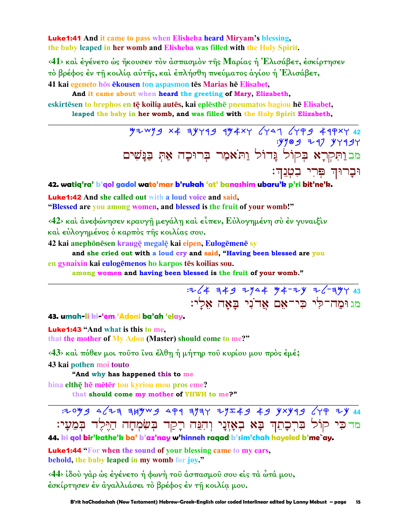Luke1:41 **And it came to pass when Elisheba heard Miryam's blessing, the baby leaped in her womb and Elisheba was filled with the Holy Spirit.** 

**‹41› καὶ ἐγένετο ὡς ἤκουσεν τὸν ἀσπασµὸν τῆς Μαρίας ἡ Ἐλισάβετ, ἐσκίρτησεν τὸ βρέφος ἐν τῇ κοιλίᾳ αὐτῆς, καὶ ἐπλήσθη πνεύµατος ἁγίου ἡ Ἐλισάβετ,** 

**41 kai egeneto hos ekousen ton aspasmon tes Marias he Elisabet,** 

 **And it came about when heard the greeting of Mary, Elizabeth,** 

**eskirtsen to brephos en tÿ koilia- auts, kai eplsth pneumatos hagiou h Elisabet, leaped the baby in her womb, and was filled with the Holy Spirit Elizabeth,** 

**\_\_\_\_\_\_\_\_\_\_\_\_\_\_\_\_\_\_\_\_\_\_\_\_\_\_\_\_\_\_\_\_\_\_\_\_\_\_\_\_\_\_\_\_\_\_\_\_\_\_\_\_\_\_\_\_\_\_\_\_\_\_\_\_\_\_\_\_\_\_\_\_\_\_\_\_\_\_\_\_\_\_\_\_\_\_\_\_\_\_\_\_\_**

 Mycnb ta hkwrb rmatw lwdg lwqb arqtw **42**   $:$  yyog  $7$  yy $19$ ·<br>מב וַתְּקְרָא בְּקוֹל<sup>´</sup> נֵּדוֹל וַתֹּאמַר בִּרוּכֵה אַתְּ בַּנַּשִׁים וּבָרוּךְ פְּרִי בִטְגֵ**ךְ**׃

**42. watiq'ra' b'qol gadol wato'mar b'rukah 'at' banashim ubaru'k p'ri bit'ne'k.**

Luke1:42 **And she called out with a loud voice and said,** 

**"Blessed are you among women, and blessed is the fruit of your womb!"** 

**‹42› καὶ ἀνεφώνησεν κραυγῇ µεγάλῃ καὶ εἶπεν, Εὐλογηµένη σὺ ἐν γυναιξὶν καὶ εὐλογηµένος ὁ καρπὸς τῆς κοιλίας σου.** 

**42 kai anephōnēsen kraugē megalē kai eipen, Eulogēmenē sy** 

 **and she cried out with a loud cry and said, "Having been blessed are you en** gynaixin kai eulogēmenos ho karpos tēs koilias sou.

**among women and having been blessed is the fruit of your womb."** 

**\_\_\_\_\_\_\_\_\_\_\_\_\_\_\_\_\_\_\_\_\_\_\_\_\_\_\_\_\_\_\_\_\_\_\_\_\_\_\_\_\_\_\_\_\_\_\_\_\_\_\_\_\_\_\_\_\_\_\_\_\_\_\_\_\_\_\_\_\_\_\_\_\_\_\_\_\_\_\_\_\_\_\_\_\_\_\_\_\_\_\_\_\_**

:yla hab ynda Ma-yk yl-hmw **43**  מגוּמה־לי כי־אם אדני באה אלי:

**43. umah-li ki-'em 'Adoni ba'ah 'elay.**

Luke1:43 **"And what is this to me, that the mother of My Adon (Master) should come to me?"** 

**‹43› καὶ πόθεν µοι τοῦτο ἵνα ἔλθῃ ἡ µήτηρ τοῦ κυρίου µου πρὸς ἐµέ;** 

**43 kai pothen moi touto** 

 **"And why has happened this to me**

**hina elth** $\bar{e}$  **he** meter tou kyriou mou pros eme? **that should come my mother of YHWH to me?"** 

:yomb dlyh hjmcb dqr hnhw ynzab ab ktkrb lwq yk **44**  מדכִּי קוֹל בִּרִכָּתֵךְ בָּא בְאָזֶנַי וְהִנֵּה רָקַד בִּשָׂמָחָה הַיֵּלֵד בִּמֵעָי:

**\_\_\_\_\_\_\_\_\_\_\_\_\_\_\_\_\_\_\_\_\_\_\_\_\_\_\_\_\_\_\_\_\_\_\_\_\_\_\_\_\_\_\_\_\_\_\_\_\_\_\_\_\_\_\_\_\_\_\_\_\_\_\_\_\_\_\_\_\_\_\_\_\_\_\_\_\_\_\_\_\_\_\_\_\_\_\_\_\_\_\_\_\_**

**44. ki qol bir'kathe'k ba' b'az'nay w'hinneh raqad b'sim'chah hayeled b'me`ay.** 

Luke1:44 **"For when the sound of your blessing came to my ears, behold, the baby leaped in my womb for joy."** 

**‹44› ἰδοὺ γὰρ ὡς ἐγένετο ἡ φωνὴ τοῦ ἀσπασµοῦ σου εἰς τὰ ὦτά µου, ἐσκίρτησεν ἐν ἀγαλλιάσει τὸ βρέφος ἐν τῇ κοιλίᾳ µου.**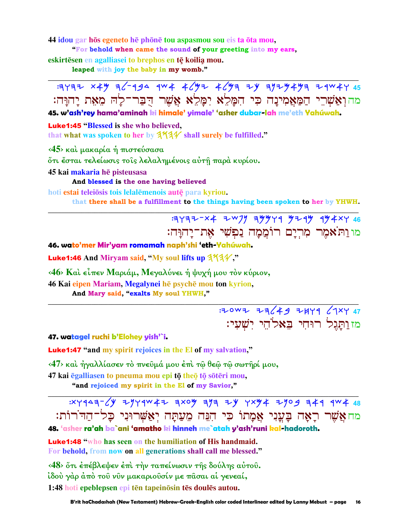44 idou gar hōs egeneto hē phōnē tou aspasmou sou eis ta ōta mou.

"For behold when came the sound of your greeting into my ears.

eskirtesen en agalliasei to brephos en te koilia mou.

leaped with joy the baby in my womb."

מהוִאֲשָׁרֵי הַמַּאֲמִינַה כִּי הִמַּלֵא יִמַּלֵא אֲשֶׁר הִבַּר־לַה מֵאָת יַהוַּה: 45. w'ash'rey hama'aminah ki himale' yimale' 'asher dubar-lah me'eth Yahúwah.

**Luke1:45 "Blessed is she who believed.** 

that what was spoken to her by  $3\frac{4}{4}$  shall surely be fulfilled."

<45> και μακαρία ή πιστεύσασα

ότι έσται τελείωσις τοις λελαλημένοις αύτη παρά κυρίου.

45 kai makaria hē pisteusasa

And blessed is the one having believed

hoti estai teleiõsis tois lelalēmenois autē para kyriou.

that there shall be a fulfillment to the things having been spoken to her by YHWH.

מו ותאמר מרים רוממה נפשי את־יהוּה:

46. wato'mer Mir'yam romamah naph'shi 'eth-Yahúwah.

Luke1:46 And Miryam said, "My soul lifts up 3734","

<46> Και είπεν Μαριάμ, Μεγαλύνει ή ψυχή μου τον κύριον,

46 Kai eipen Mariam, Megalynei hē psychē mou ton kyrion,

And Mary said, "exalts My soul YHWH,"

: 20WZ ZZ(49 ZHY9 (1XY 47 <u>מזותגל רוּחִי בָּאלֹהֵי יִשְׁעָי:</u>

#### 47. watagel ruchi b'Elohey yish'`i.

**Luke1:47** "and my spirit rejoices in the El of my salvation."

<47> και ήγαλλίασεν το πνευμά μου έπι τω θεω τω σωτηρί μου,

47 kai egalliasen to pneuma mou epi tō theō tō sōtēri mou.

"and rejoiced my spirit in the El of my Savior,"

מחאֲשֶׁר רַאָה בַּעֲנִי אֱמַתוֹ כִּי הִנֶּה מֵעֲתַּה יְאֲשֶׁרוּנִי כַל־הַדֹּרוֹת:

48. 'asher ra'ah ba`ani 'amatho ki hinneh me`atah y'ash'runi kal-hadoroth.

**Luke1:48** "who has seen on the humiliation of His handmaid. For behold, from now on all generations shall call me blessed."

<48> στι έπέβλεψεν έπι την ταπείνωσιν της δούλης αυτου. ίδού γάρ άπό τοῦ νῦν μακαριοῦσίν με πασαι αἱ γενεαί, 1:48 hoti epeblepsen epi tēn tapeinōsin tēs doulēs autou.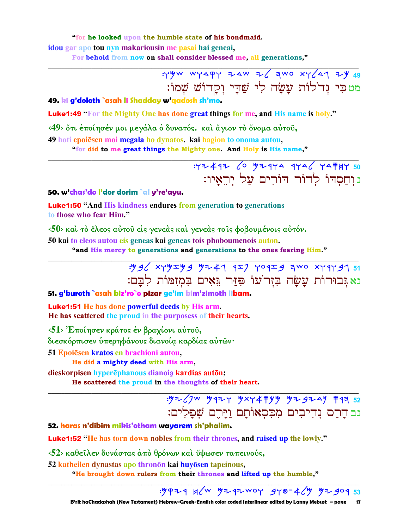"for he looked upon the humble state of his bondmaid. idou gar apo tou nyn makariousin me pasai hai geneai,

For behold from now on shall consider blessed me, all generations,"

: YWW WYAPY ZAW Z/ 3WO XY/41 ZY 49 מטכִּי גִדֹלוֹת עַשָׂה לִי שַׁדַי וְכַדוֹשׁ שִׁמוֹ:

49. ki g'doloth `asah li Shadday w'aadosh sh'mo.

**Luke1:49** "For the Mighty One has done great things for me, and His name is holy."

<49> στι έποίησέν μοι μεγάλα ο δυνατός, και άγιον το όνομα αύτου,

49 hoti epoiēsen moi megala ho dynatos. kai hagion to onoma autou,

"for did to me great things the Mighty one. And Holy is His name,"

 $777447$   $(0$   $97444$   $444$   $($   $74747)$ נוחסדו לדור דורים על יראיו:

### 50. w'chas'do l'dor dorim `al y're'ayu.

**Luke1:50** "And His kindness endures from generation to generations to those who fear Him."

 $\langle 50 \rangle$  και το έλεος αύτου είς γενεάς και γενεάς τοις φοβουμένοις αύτόν.

50 kai to eleos autou eis geneas kai geneas tois phoboumenois auton.

"and His mercy to generations and generations to the ones fearing Him."

 $\frac{149}{6}$  xyy  $\frac{149}{2}$  y  $\frac{147}{4}$   $\frac{147}{2}$  y o  $\frac{149}{2}$  a wo xy 4y 41 51 נא גִּבוּרוֹת עָשָׂה בְּזִר עוֹ פִּזַּר גֵּאִים בְּמִזְמּוֹת לְבַם:

51. g'buroth `asah biz'ro`o pizar ge'im bim'zimoth libam.

**Luke1:51** He has done powerful deeds by His arm. He has scattered the proud in the purposess of their hearts.

<51> Έποίησεν κράτος έν βραχίονι αύτου,

διεσκόρπισεν ύπερηφάνους διανοία καρδίας αύτῶν·

51 Epoiēsen kratos en brachioni autou,

He did a mighty deed with His arm,

dieskorpisen hyperēphanous dianoja kardias autōn;

He scattered the proud in the thoughts of their heart.

: HZ (7W MAZY MXY4 FYM MZ 9Z 4M FAR 52 נב הרס נדיבים מכסאותם <u>ויר</u>ם שפלים:

52. haras n'dibim mikis'otham wayarem sh'phalim.

**Luke1:52** "He has torn down nobles from their thrones, and raised up the lowly."

 $\langle 52 \rangle$  καθείλεν δυνάστας άπό θρόνων και ΰψωσεν ταπεινούς,

52 katheilen dynastas apo thronōn kai huyōsen tapeinous,

"He brought down rulers from their thrones and lifted up the humble,"

: 9424 H (W 4242 WOY 940-4 (4 42904 53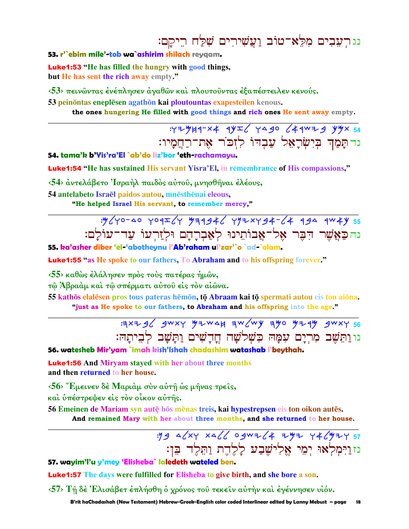# נגרעֲבִים מִלֵּאִ־טוֹב וַעֲשִׁירִים שִׁלַּח רֵיקָם:

### 53. r'ebim mile'-tob wa`ashirim shilach reygam.

**Luke1:53** "He has filled the hungry with good things, but He has sent the rich away empty."

<53> πεινώντας ένέπλησεν άγαθών και πλουτούντας έξαπέστειλεν κενούς.

53 peinontas eneplēsen agathon kai ploutountas exapesteilen kenous.

the ones hungering He filled with good things and rich ones He sent away empty.

 $777949 - x4 992/799$   $49929$ נדתַמַה בִּיְשִׂרַאָל עַבְדוֹ לְזִכֹר אֶת־רַחֲמַיו:

54. tama'k b'Yis'ra'El `ab'do liz'kor 'eth-rachamayu.

Luke1:54 "He has sustained His servant Yisra'El, in remembrance of His compassions,"

<54> άντελάβετο Ίσραήλ παιδός αύτου, μνησθήναι έλέους,

54 antelabeto Israēl paidos autou, mnēsthēnai eleous,

"He helped Israel His servant, to remember mercy,"

:"//yo-40 yoqI/y "99946 y"xy94-64 994 9W4Y 55 נהכַאֲשֶׁר הַבֵּר אָל־אָבוֹתֵינוּ לְאָבְרַהַם וּלְזַרְעוֹ עַד־עוֹלַם:

55. ka'asher diber 'el-'abotheynu l'Ab'raham ul'zar'`o `ad-`olam.

**Luke1:55** "as He spoke to our fathers, To Abraham and to his offspring forever."

<55> καθώς έλάλησεν πρός τούς πατέρας ήμων,

τώ Άβραάμ και τω σπέρματι αυτού είς τον αίωνα.

55 kathōs elalēsen pros tous pateras hēmōn, tō Abraam kai tō spermati autou eis ton aiōna. "just as He spoke to our fathers, to Abraham and his offspring into the age."

> $3x+4$  4WXY  $4x+4$  3W(wy 340 4+44 4WXY 56 נו וַתְּשָׁב מִרְיָם עִמַּה כִּשְׁלֹשַׁה חֲדַשִׁים וַתַּשַׁב לביתה:

56. watesheb Mir'yam `imah kish'Ishah chadashim watashab l'beythah.

**Luke1:56** And Miryam stayed with her about three months and then returned to her house.

 $56$  "Εμεινεν δέ Μαριάμ σύν αύτη ώς μήνας τρείς,

και υπέστρεψεν είς τον οίκον αυτής.

56 Emeinen de Mariam syn autę hos menas treis, kai hypestrepsen eis ton oikon autes. And remained Mary with her about three months, and she returned to her house.

> $.944$   $\frac{\sqrt{x}}{1.5}$   $\frac{x}{\sqrt{x}}$   $\frac{x}{\sqrt{x}}$   $\frac{2}{\sqrt{x}}$   $\frac{2}{\sqrt{x}}$   $\frac{2}{\sqrt{x}}$   $\frac{2}{\sqrt{x}}$   $\frac{2}{\sqrt{x}}$   $\frac{x}{\sqrt{x}}$   $\frac{x}{\sqrt{x}}$   $\frac{x}{\sqrt{x}}$   $\frac{x}{\sqrt{x}}$   $\frac{x}{\sqrt{x}}$   $\frac{x}{\sqrt{x}}$   $\frac{x}{\sqrt{x}}$   $\frac{x}{\sqrt{x}}$   $\frac{x}{\sqrt{x}}$   $\frac{x}{\sqrt{x}}$   $\frac{x}{\sqrt{x$ נזוַיִּמְלְאוּ יִמְי אֱלְישֶׁבַע לַלֶדֶת וַתְּלֵד בֵן:

### 57. wayim'l'u y'mey 'Elisheba` laledeth wateled ben.

**Luke1:57** The days were fulfilled for Elisheba to give birth, and she bore a son.

<57> Τη δέ Έλισάβετ έπλήσθη ο χρόνος του τεκείν αυτήν και έγέννησεν υίόν.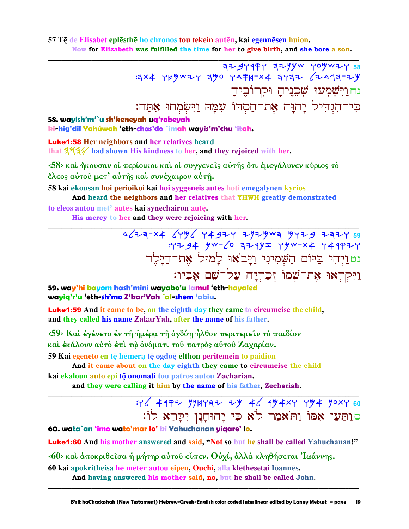### 57 Tē de Elisabet eplēsthē ho chronos tou tekein autēn, kai egennēsen huion. Now for Elizabeth was fulfilled the time for her to give birth, and she bore a son.

 $779494$   $709947$   $709947$ נח וַיִּשְׁמְעוּ שָׁכֶנֶיהַ וּקְרוֹבֶיהַ כִּי־הְגָדִיל יַהוַּה אֶת־חֲסְדוֹ עִמֲה וַיִּשְׂמְחוּ אָתֲה:

### 58. wayish'm'`u sh'keneyah uq'robeyah ki-hig'dil Yahúwah 'eth-chas'do `imah wayis'm'chu 'itah.

**Luke1:58** Her neighbors and her relatives heard that  $3\frac{1}{4}$  had shown His kindness to her, and they rejoiced with her.

 $\langle 58 \rangle$  και ήκουσαν οι περίοικοι και οι συγγενείς αύτης ότι εμεγάλυνεν κύριος το έλεος αύτου μετ' αύτης και συνέχαιρον αυτη.

58 kai ēkousan hoi perioikoi kai hoi syggeneis autēs hoti emegalynen kyrios And heard the neighbors and her relatives that YHWH greatly demonstrated

to eleos autou met' autēs kai synechairon autē. His mercy to her and they were rejoicing with her.

> נט וַיִּהִי בַּיּוֹם הַשָּׁמִינִי וַיַּבֹאוּ לַמוּל אֶת־הַיַּלֵד וַיִּקְרָאוּ אֶת־שָׁמוֹ זֶכְרְיַה עֲל<sup>ְ–</sup>שָׁם אָבְיו:

59. way'hi bayom hash'mini wayabo'u lamul 'eth-hayaled wayiq'r'u 'eth-sh'mo Z'kar'Yah `al-shem 'abiu.

**Luke1:59** And it came to be, on the eighth day they came to circumcise the child, and they called his name ZakarYah, after the name of his father.

<59> Και έγένετο έν τη ήμέρα τη όγδόη ήλθον περιτεμείν το παιδίον και έκάλουν αύτο έπι τω όνόματι του πατρός αύτου Ζαχαρίαν. 59 Kai egeneto en tē hēmera tē ogdoē ēlthon peritemein to paidion

And it came about on the day eighth they came to circumcise the child kai ekaloun auto epi tō onomati tou patros autou Zacharian.

and they were calling it him by the name of his father, Zechariah.

# :46 4992 774792 24 46 974×4 474 70×4 80 סוַתַּעַן אָמוֹ וַתֹּאמַר לֹא כִּי יָהוּחָנָן יִקְרֹא לוֹ:

60. wata`an 'imo wato'mar lo' ki Yahuchanan yiqare' lo.

Luke1:60 And his mother answered and said, "Not so but he shall be called Yahuchanan!"

<60> και άποκριθείσα ή μήτηρ αύτου είπεν, Ούχί, άλλα κληθήσεται 'Ιωάννης.

60 kai apokritheisa he mētēr autou eipen, Ouchi, alla klēthesetai lōannēs.

And having answered his mother said, no, but he shall be called John.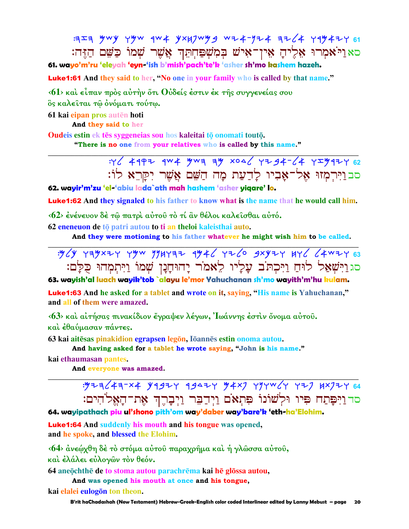크도ㅋ HWY YHW 4W # YXHJWH 9 W + 4-Y + 4 + + 4 + 4 + + + 61 ּסאַניּיֹאַמְרוּ אֶלִיהָ אֵין־אִישׁ בִּמְשִׁפַּחִתְּךְ אֲשֶׁר שִׁמוֹ כַּשֵּׁם הַזֵּה:

61. wayo'm'ru 'eleyah 'eyn-'ish b'mish'pach'te'k 'asher sh'mo kashem hazeh.

**Luke1:61** And they said to her, "No one in your family who is called by that name."

 $\langle 61 \rangle$  και είπαν προς αύτην ότι θύδείς έστιν έκ της συγγενείας σου ὃς καλείται τώ ονόματι τούτω.

61 kai eipan pros autēn hoti

And they said to her

Oudeis estin ek tēs syggeneias sou hos kaleitai tō onomati toutō. "There is no one from your relatives who is called by this name."

> $492$  4992 4W4 4W3 34 x046 424-64 42447 62 סבוירמזו אל־אַבִיו לַדַעַת מַה הַשֵּׁם אֲשֶׁר יִקָּרֵא לוֹ:

62. wayir'm'zu 'el-'abiu lada`ath mah hashem 'asher yigare' lo.

**Luke1:62** And they signaled to his father to know what is the name that he would call him.

<62> ένένευον δέ τώ πατρί αύτου τό τί αν θέλοι καλεισθαι αύτό.

62 eneneuon de tō patri autou to ti an theloi kaleisthai auto.

And they were motioning to his father whatever he might wish him to be called.



63. wayish'al luach wayik'tob `alayu le'mor Yahuchanan sh'mo wayith'm'hu kulam.

**Luke1:63** And he asked for a tablet and wrote on it, saying, "His name is Yahuchanan," and all of them were amazed.

<63> και αίτήσας πινακίδιον έγραψεν λέγων, Ιωάννης έστιν όνομα αύτου. και έθαύμασαν πάντες.

63 kai aitēsas pinakidion egrapsen legōn, lōannēs estin onoma autou.

And having asked for a tablet he wrote saying, "John is his name."

kai ethaumasan pantes.

And everyone was amazed.

: 923 / 43-x4 94924 49424 94x7 494W/4 427 8x724 64 סד וַיִּפַּתַח פִּיוּ וּלְשׁוֹנוֹ פִּתְאֹם וַיִּדְבָּר וַיִּבְרֵךְ אֶת־הַאֱלֹהִים:

64. wayipathach piu ul'shono pith'om way'daber way'bare'k 'eth-ha'Elohim.

**Luke1:64** And suddenly his mouth and his tongue was opened, and he spoke, and blessed the Elohim.

<64> άνεώχθη δέ το στόμα αύτου παραχρήμα και ή γλώσσα αύτου,

και έλάλει εύλογων τον θεόν.

64 aneochthe de to stoma autou parachrema kai he glossa autou,

And was opened his mouth at once and his tongue,

kai elalei eulogon ton theon.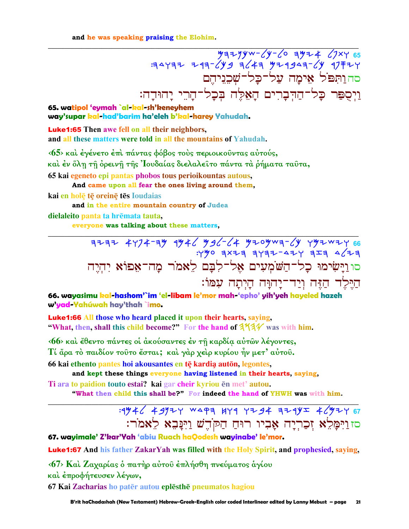and he was speaking praising the Elohim.

 $729 - 69 - 69 - 69 - 69$  = 4473 + 469 = 469 = 464 + 469 = 464 + 469 = 464 + 469 = 464 + 469 = 464 + 469 = 46 <u>סהותפל אימה על־כל־שִׁכְנֵיהֵם</u> וַיִּסֻפַּר כָּל־הַדִּבָרִים הָאֵלֵּה בִּכַל־הַרֵי יַהוּדַה:

65. watipol 'eymah `al-kal-sh'keneyhem way'supar kal-had'barim ha'eleh b'kal-harey Yahudah.

**Luke1:65** Then awe fell on all their neighbors, and all these matters were told in all the mountains of Yahudah.

<65> και έγένετο έπι πάντας φόβος τους περιοικούντας αύτούς, καὶ ἐν ὅλη τῆ ὀρεινῆ τῆς Ἰουδαίας διελαλεῖτο πάντα τὰ ῥήματα ταῦτα, 65 kai egeneto epi pantas phobos tous perioikountas autous,

And came upon all fear the ones living around them,

kai en holē tē oreinē tēs Ioudaias

and in the entire mountain country of Judea dielaleito panta ta hrēmata tauta,

everyone was talking about these matters,

 $37772$  4774-39 9946 996-4 9769 9941 9941 9941<br>FTP 742-4575 9841 סו וַיַּשִׂימוּ כָל־הַשֹּׁמְעִים אֱל־לִבָּם לֵאמֹר מַה־אָפוֹא יִהְיֵה הַיַּלֵד הַזֶּה וְיַד־יַהוָּה הַיִתְה עִמּוֹ:

66. wayasimu kal-hashom'`im 'el-libam le'mor mah-'epho' yih'yeh hayeled hazeh w'yad-Yahúwah hay'thah `imo.

**Luke1:66 All those who heard placed it upon their hearts, saying,** "What, then, shall this child become?" For the hand of  $3\frac{4}{4}\%$  was with him.

<66> και έθεντο πάντες οι ακούσαντες εν τη καρδία αυτών λέγοντες, Τί άρα το παιδίον τούτο έσται; και γάρ χειρ κυρίου ήν μετ' αύτου.

66 kai ethento pantes hoi akousantes en tē kardia autōn, legontes,

and kept these things everyone having listened in their hearts, saying,

Ti ara to paidion touto estai? kai gar cheir kyriou en met' autou.

"What then child this shall be?" For indeed the hand of YHWH was with him.

## : 1946 49924 WAPA HYA YZ94 AZAYI 46924 67 סזוַיִּמָּלֵא זִכַרִיָה אָבִיו רוּחַ חַקֹּדֵשׁ וַיִּנָּבֵא לֵאמֹר:

67. wayimale' Z'kar'Yah 'abiu Ruach haQodesh wayinabe' le'mor.

**Luke1:67** And his father ZakarYah was filled with the Holy Spirit, and prophesied, saying,

<67> Και Ζαχαρίας ο πατήρ αύτου έπλήσθη πνεύματος αγίου

και έπροφήτευσεν λέγων,

67 Kai Zacharias ho patēr autou eplēsthē pneumatos hagiou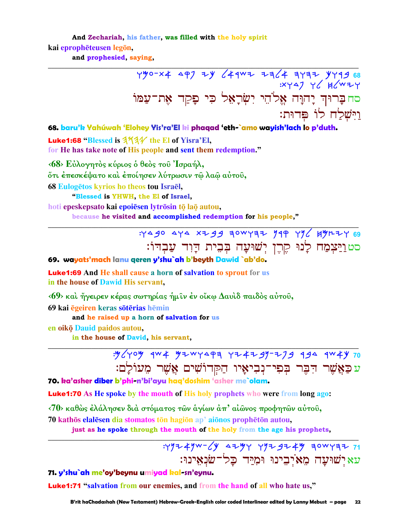And Zechariah, his father, was filled with the holy spirit

kai eprophēteusen legōn.

and prophesied, saying,

68. baru'k Yahúwah 'Elohey Yis'ra'El ki phaqad 'eth-`amo wayish'lach lo p'duth.

Luke1:68 "Blessed is 3734 the El of Yisra'El, for He has take note of His people and sent them redemption."

<68> Εύλογητός κύριος ό θεός του Ίσραήλ, ὄτι έπεσκέψατο καὶ έποίησεν λύτρωσιν τῷ λαῷ αὐτοῦ, 68 Eulogētos kyrios ho theos tou Israēl, "Blessed is YHWH, the El of Israel,

hoti epeskepsato kai epoiesen lytrōsin tō laō autou, because he visited and accomplished redemption for his people,"

> : 490 444 x 799 30WY 32 199 496 4912 69 <u>סטויַצְמַח לָנוּ קֵרֵן יִשׁוּעָה בִּבֵית הַוָּד עַבְדוֹ:</u>

69. wayats'mach lanu qeren y'shu`ah b'beyth Dawid `ab'do.

**Luke1:69** And He shall cause a horn of salvation to sprout for us in the house of Dawid His servant,

 $\langle 69 \rangle$  και ήγειρεν κέρας σωτηρίας ήμιν έν οἴκω Δαυιδ παιδός αύτου,

69 kai ēgeiren keras sōtērias hēmin

and he raised up a horn of salvation for us

en oikō Dauid paidos autou, in the house of David, his servant,

> : 4/ you aw + 42 wyspa yz + 29- 279 494 aw + y 70 עכַאֲשֶׁר הִבֶּר בִּפִי־נִבְיאָיו הַקִּדוֹשִׁים אֲשֵׁר מֵעוֹלָם:

70. ka'asher diber b'phi-n'bi'ayu hag'doshim 'asher me`olam.

**Luke1:70** As He spoke by the mouth of His holy prophets who were from long ago:

<70> καθώς έλάλησεν διά στόματος των άγίων άπ' αίωνος προφητών αύτου,

70 kathōs elalesen dia stomatos tōn hagiōn ap' aiōnos prophetōn autou.

just as he spoke through the mouth of the holy from the age his prophets,

: YYZ 4YW- (Y AZYY YYZ 9Z 4Y ZOWYZZ 71 עא ישועה מאיבינו ומיד כל־שנאינו:

71. y'shu`ah me'oy'beynu umiyad kal-sn'eynu.

**Luke1:71** "salvation from our enemies, and from the hand of all who hate us,"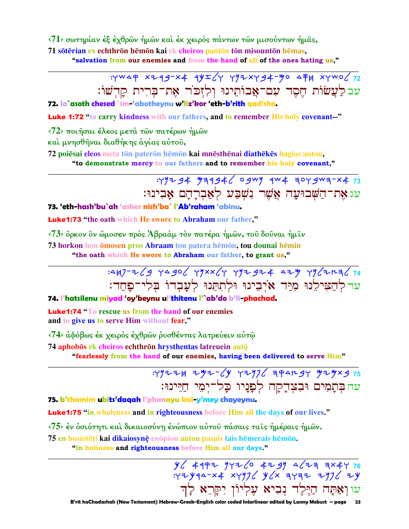$\langle 71 \rangle$  σωτηρίαν έξ έχθρων ήμων και έκ χειρος πάντων των μισούντων ήμας, 71 sötērian ex echthrōn hēmōn kai ek cheiros pantōn tōn misountōn hēmas, "salvation from our enemies and from the hand of all of the ones hating us."

:YWAP XZ49-X4 4YI (Y YYZXY94-YO AFH XYWO (72

עבלעֲשׂוֹת חֵסֶד עִם־אָבוֹתֵינוּ וְלִזְכֹּר אֶת־בִּרִית קַדְשׁוֹ:

72. la`asoth chesed `im-'abotheynu w'liz'kor 'eth-b'rith gad'sho.

**Luke 1:72** "to carry kindness with our fathers, and to remember His holy covenant-"

 $\langle 72 \rangle$  ποιήσαι έλεος μετά των πατέρων ήμων

καὶ μνησθῆναι διαθήκης ἁγίας αὐτοῦ,

72 poiesai eleos meta tōn paterōn hēmōn kai mnēsthēnai diathēkēs hagias autou, "to demonstrate mercy to our fathers and to remember his holy covenant,"

## : 497 94 97946 0 gwy qw 4 304 gwa-x 4 73 עג אָת־הַשְּׁבוּעָה אֲשֶׁר נִשְׁבַּע לְאַבְרָהָם אַבִינוּ:

73. 'eth-hash'bu`ah 'asher nish'ba` l'Ab'raham 'abinu.

Luke1:73 "the oath which He swore to Abraham our father,"

<73> ὄρκον ὃν ὤμοσεν πρὸς Ἀβραὰμ τὸν πατέρα ἡμῶν, τοῦ δοῦναι ἡμῖν 73 horkon hon ömosen pros Abraam ton patera hemon, tou dounai hemin "the oath which He swore to Abraham our father, to grant us,"

# :447-269 YA906 YYXX6Y YYZ924 424 YY62123674 עד להצילנוּ מיד אֹיבינוּ וּלתתּנוּ לעבדוֹ בּלי־פחד:

### 74. l'hatsilenu miyad 'oy'beynu ul'thitenu l'`ab'do b'li-phachad.

**Luke1:74** "To rescue us from the hand of our enemies and to give us to serve Him without fear,"

<74> άφόβως έκ χειρὸς έχθρῶν ρυσθέντας λατρεύειν αὐτῶ

74 aphobos ek cheiros echthron hrysthentas latreuein auto

"fearlessly from the hand of our enemies, having been delivered to serve Him"

# $75$  343224 3432-63 342926 3422434 342323 עה בְּתָמִים וּבִצְדַקַה לְפַנַיו כַל־ימי חיינוּ:

75. b'thamim ubits'daqah l'phanayu kal-y'mey chayeynu.

Luke1:75 "in wholeness and in righteousness before Him all the days of our lives."

<75> έν δσιότητι και δικαιοσύνη ένώπιον αύτου πάσαις ταις ήμέραις ήμων.

75 en hosiotēti kai dikajosynē enopion autou pasais tais hēmerais hēmon.

"in holiness and righteousness before Him all our days."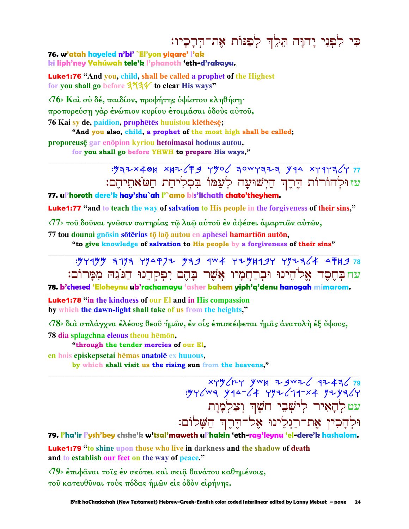כִּי לְפְנֵי יָהוָּה תֵלֶךְ לְפַנּוֹת אֶת־הִרָכָיו:

76. w'atah hayeled n'bi' `El'yon yigare' l'ak ki liph'ney Yahúwah tele'k l'phanoth 'eth-d'rakayu.

Luke1:76 "And you, child, shall be called a prophet of the Highest for you shall go before  $3\frac{1}{4}$  to clear His ways"

<76> Και σύ δέ, παιδίον, προφήτης υψίστου κληθήση· προπορεύση γάρ ένώπιον κυρίου έτοιμάσαι όδους αύτου,

76 Kai sy de, paidion, prophetes huuistou klethese;

"And you also, child, a prophet of the most high shall be called;

proporeusē gar enopion kyriou hetoimasai hodous autou, for you shall go before YHWH to prepare His ways,"

## : 937x404 x47/ F9 y 90/ 30W Y373 y 44 x Y 4 Y 27 עזוּלְהוֹרוֹת הֵרֵךְ הַיִשׁוּעַה לְעַמּוֹ בִסְלִיחַת חַטֹּאתֵיהֵם:

77, ul'horoth dere'k hay'shu`ah l'`amo bis'lichath chato'theyhem.

**Luke1:77** "and to teach the way of salvation to His people in the forgiveness of their sins,"

<77> του δουναι γνώσιν σωτηρίας τω λαώ αύτου έν άφέσει άμαρτιών αύτών,

77 tou dounai gnosin soterias to lao autou en aphesei hamartion auton.

"to give knowledge of salvation to His people by a forgiveness of their sins"



78. b'chesed 'Eloheynu ub'rachamayu 'asher bahem yiph'q'denu hanogah mimarom.

**Luke1:78** "in the kindness of our El and in His compassion by which the dawn-light shall take of us from the heights,"

<78> διά σπλάγχνα έλέους θεού ήμων, έν οίς έπισκέψεται ήμας ανατολή έξ ύψους, 78 dia splagchna eleous theou hemon.

"through the tender mercies of our El,

en hois episkepsetai hēmas anatolē ex huuous,

by which shall visit us the rising sun from the heavens."

xyy/ry ywk zgwz/ 9z4z/79<br>yy/wa yqa-/4 yyz/19-x4 yzya/y עטלְהַאָיר לִישָׁבֵי חֹשֵׁךְ וְצַלְמֲוֵת וּלְהַכִין אֶת־רַגִלִינוּ אָל־הֵרֶךְ הַשֲּׁלוֹם:

79. I'ha'ir l'ysh'bey chshe'k w'tsal'maweth ul'hakin 'eth-rag'leynu 'el-dere'k hashalom.

**Luke1:79** "to shine upon those who live in darkness and the shadow of death and to establish our feet on the way of peace."

 $\langle 79 \rangle$  έπιφαναι τοίς έν σκότει και σκια θανάτου καθημένοις, του κατευθύναι τους πόδας ήμων είς όδον είρήνης.